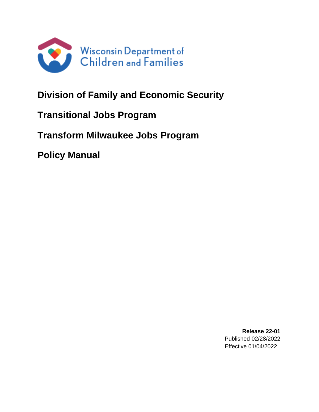

# **Division of Family and Economic Security**

# **Transitional Jobs Program**

# **Transform Milwaukee Jobs Program**

**Policy Manual**

**Release 22-01** Published 02/28/2022 Effective 01/04/2022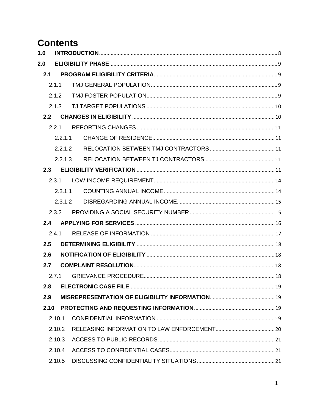# **Contents**

| 1.0  |         |  |
|------|---------|--|
| 2.0  |         |  |
| 2.1  |         |  |
|      | 2.1.1   |  |
|      | 2.1.2   |  |
|      | 2.1.3   |  |
| 2.2  |         |  |
|      | 2.2.1   |  |
|      | 2.2.1.1 |  |
|      | 2.2.1.2 |  |
|      | 2.2.1.3 |  |
| 2.3  |         |  |
|      | 2.3.1   |  |
|      | 2.3.1.1 |  |
|      | 2.3.1.2 |  |
|      | 2.3.2   |  |
| 2.4  |         |  |
|      | 2.4.1   |  |
| 2.5  |         |  |
| 2.6  |         |  |
| 2.7  |         |  |
|      | 2.7.1   |  |
| 2.8  |         |  |
| 2.9  |         |  |
| 2.10 |         |  |
|      | 2.10.1  |  |
|      | 2.10.2  |  |
|      | 2.10.3  |  |
|      | 2.10.4  |  |
|      | 2.10.5  |  |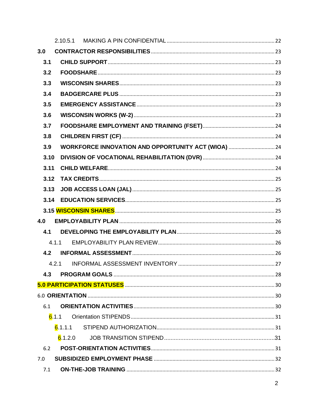|      | 2.10.5.1                                            |  |
|------|-----------------------------------------------------|--|
| 3.0  |                                                     |  |
| 3.1  |                                                     |  |
| 3.2  |                                                     |  |
| 3.3  |                                                     |  |
| 3.4  |                                                     |  |
| 3.5  |                                                     |  |
| 3.6  |                                                     |  |
| 3.7  |                                                     |  |
| 3.8  |                                                     |  |
| 3.9  | WORKFORCE INNOVATION AND OPPORTUNITY ACT (WIOA)  24 |  |
| 3.10 |                                                     |  |
| 3.11 |                                                     |  |
| 3.12 |                                                     |  |
| 3.13 |                                                     |  |
| 3.14 |                                                     |  |
|      |                                                     |  |
| 4.0  |                                                     |  |
| 4.1  |                                                     |  |
|      | 4.1.1                                               |  |
| 4.2  |                                                     |  |
|      | 4.2.1                                               |  |
| 4.3  |                                                     |  |
|      |                                                     |  |
|      |                                                     |  |
| 6.1  |                                                     |  |
|      | 6.1.1                                               |  |
|      | 6.1.1.1                                             |  |
|      | 6.1.2.0                                             |  |
| 6.2  |                                                     |  |
| 7.0  |                                                     |  |
| 7.1  |                                                     |  |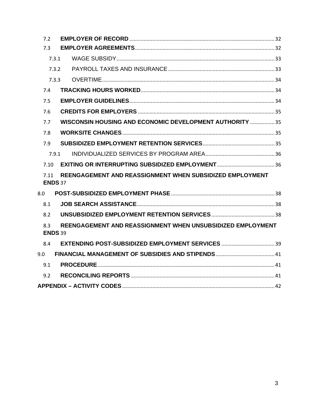| 7.2   |                                                                              |  |  |  |  |
|-------|------------------------------------------------------------------------------|--|--|--|--|
| 7.3   |                                                                              |  |  |  |  |
| 7.3.1 |                                                                              |  |  |  |  |
| 7.3.2 |                                                                              |  |  |  |  |
| 7.3.3 |                                                                              |  |  |  |  |
| 7.4   |                                                                              |  |  |  |  |
| 7.5   |                                                                              |  |  |  |  |
| 7.6   |                                                                              |  |  |  |  |
| 7.7   | WISCONSIN HOUSING AND ECONOMIC DEVELOPMENT AUTHORITY  35                     |  |  |  |  |
| 7.8   |                                                                              |  |  |  |  |
| 7.9   |                                                                              |  |  |  |  |
| 7.9.1 |                                                                              |  |  |  |  |
| 7.10  |                                                                              |  |  |  |  |
| 7.11  | REENGAGEMENT AND REASSIGNMENT WHEN SUBSIDIZED EMPLOYMENT<br><b>ENDS 37</b>   |  |  |  |  |
| 8.0   |                                                                              |  |  |  |  |
| 8.1   |                                                                              |  |  |  |  |
| 8.2   |                                                                              |  |  |  |  |
| 8.3   | REENGAGEMENT AND REASSIGNMENT WHEN UNSUBSIDIZED EMPLOYMENT<br><b>ENDS 39</b> |  |  |  |  |
| 8.4   |                                                                              |  |  |  |  |
| 9.0   |                                                                              |  |  |  |  |
| 9.1   |                                                                              |  |  |  |  |
| 9.2   |                                                                              |  |  |  |  |
|       |                                                                              |  |  |  |  |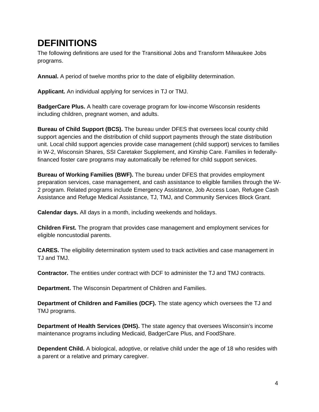# **DEFINITIONS**

The following definitions are used for the Transitional Jobs and Transform Milwaukee Jobs programs.

**Annual.** A period of twelve months prior to the date of eligibility determination.

**Applicant.** An individual applying for services in TJ or TMJ.

**BadgerCare Plus.** A health care coverage program for low-income Wisconsin residents including children, pregnant women, and adults.

**Bureau of Child Support (BCS).** The bureau under DFES that oversees local county child support agencies and the distribution of child support payments through the state distribution unit. Local child support agencies provide case management (child support) services to families in W-2, Wisconsin Shares, SSI Caretaker Supplement, and Kinship Care. Families in federallyfinanced foster care programs may automatically be referred for child support services.

**Bureau of Working Families (BWF).** The bureau under DFES that provides employment preparation services, case management, and cash assistance to eligible families through the W-2 program. Related programs include Emergency Assistance, Job Access Loan, Refugee Cash Assistance and Refuge Medical Assistance, TJ, TMJ, and Community Services Block Grant.

**Calendar days.** All days in a month, including weekends and holidays.

**Children First.** The program that provides case management and employment services for eligible noncustodial parents.

**CARES.** The eligibility determination system used to track activities and case management in TJ and TMJ.

**Contractor.** The entities under contract with DCF to administer the TJ and TMJ contracts.

**Department.** The Wisconsin Department of Children and Families.

**Department of Children and Families (DCF).** The state agency which oversees the TJ and TMJ programs.

**Department of Health Services (DHS).** The state agency that oversees Wisconsin's income maintenance programs including Medicaid, BadgerCare Plus, and FoodShare.

**Dependent Child.** A biological, adoptive, or relative child under the age of 18 who resides with a parent or a relative and primary caregiver.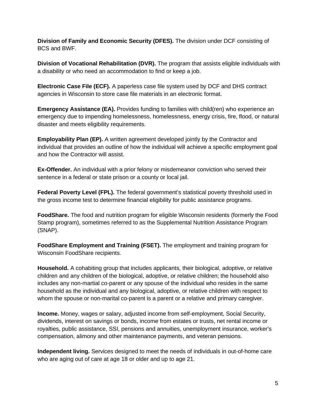**Division of Family and Economic Security (DFES).** The division under DCF consisting of BCS and BWF.

**Division of Vocational Rehabilitation (DVR).** The program that assists eligible individuals with a disability or who need an accommodation to find or keep a job.

**Electronic Case File (ECF).** A paperless case file system used by DCF and DHS contract agencies in Wisconsin to store case file materials in an electronic format.

**Emergency Assistance (EA).** Provides funding to families with child(ren) who experience an emergency due to impending homelessness, homelessness, energy crisis, fire, flood, or natural disaster and meets eligibility requirements.

**Employability Plan (EP).** A written agreement developed jointly by the Contractor and individual that provides an outline of how the individual will achieve a specific employment goal and how the Contractor will assist.

**Ex-Offender.** An individual with a prior felony or misdemeanor conviction who served their sentence in a federal or state prison or a county or local jail.

**Federal Poverty Level (FPL).** The federal government's statistical poverty threshold used in the gross income test to determine financial eligibility for public assistance programs.

**FoodShare.** The food and nutrition program for eligible Wisconsin residents (formerly the Food Stamp program), sometimes referred to as the Supplemental Nutrition Assistance Program (SNAP).

**FoodShare Employment and Training (FSET).** The employment and training program for Wisconsin FoodShare recipients.

**Household.** A cohabiting group that includes applicants, their biological, adoptive, or relative children and any children of the biological, adoptive, or relative children; the household also includes any non-martial co-parent or any spouse of the individual who resides in the same household as the individual and any biological, adoptive, or relative children with respect to whom the spouse or non-marital co-parent is a parent or a relative and primary caregiver.

**Income.** Money, wages or salary, adjusted income from self-employment, Social Security, dividends, interest on savings or bonds, income from estates or trusts, net rental income or royalties, public assistance, SSI, pensions and annuities, unemployment insurance, worker's compensation, alimony and other maintenance payments, and veteran pensions.

**Independent living.** Services designed to meet the needs of individuals in out-of-home care who are aging out of care at age 18 or older and up to age 21.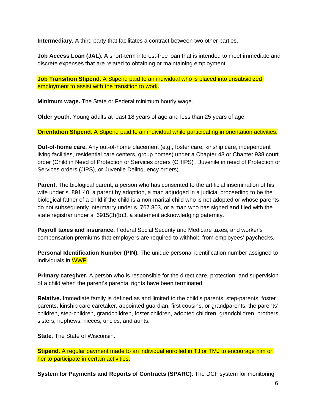**Intermediary.** A third party that facilitates a contract between two other parties.

**Job Access Loan (JAL).** A short-term interest-free loan that is intended to meet immediate and discrete expenses that are related to obtaining or maintaining employment.

**Job Transition Stipend.** A Stipend paid to an individual who is placed into unsubsidized employment to assist with the transition to work.

**Minimum wage.** The State or Federal minimum hourly wage.

**Older youth.** Young adults at least 18 years of age and less than 25 years of age.

**Orientation Stipend.** A Stipend paid to an individual while participating in orientation activities.

**Out-of-home care.** Any out-of-home placement (e.g., foster care, kinship care, independent living facilities, residential care centers, group homes) under a Chapter 48 or Chapter 938 court order (Child in Need of Protection or Services orders (CHIPS) , Juvenile in need of Protection or Services orders (JIPS), or Juvenile Delinquency orders).

**Parent.** The biological parent, a person who has consented to the artificial insemination of his wife under s. 891.40, a parent by adoption, a man adjudged in a judicial proceeding to be the biological father of a child if the child is a non-marital child who is not adopted or whose parents do not subsequently intermarry under s. 767.803, or a man who has signed and filed with the state registrar under s. 6915(3)(b)3. a statement acknowledging paternity.

**Payroll taxes and insurance.** Federal Social Security and Medicare taxes, and worker's compensation premiums that employers are required to withhold from employees' paychecks.

**Personal Identification Number (PIN).** The unique personal identification number assigned to individuals in WWP.

**Primary caregiver.** A person who is responsible for the direct care, protection, and supervision of a child when the parent's parental rights have been terminated.

**Relative.** Immediate family is defined as and limited to the child's parents, step-parents, foster parents, kinship care caretaker, appointed guardian, first cousins, or grandparents; the parents' children, step-children, grandchildren, foster children, adopted children, grandchildren, brothers, sisters, nephews, nieces, uncles, and aunts.

**State.** The State of Wisconsin.

**Stipend.** A regular payment made to an individual enrolled in TJ or TMJ to encourage him or her to participate in certain activities.

**System for Payments and Reports of Contracts (SPARC).** The DCF system for monitoring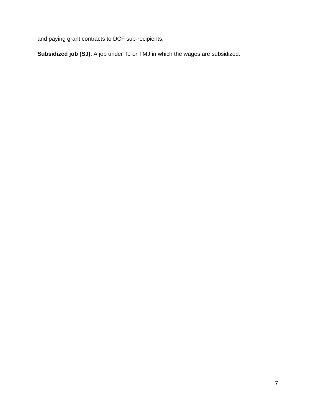and paying grant contracts to DCF sub-recipients.

**Subsidized job (SJ).** A job under TJ or TMJ in which the wages are subsidized.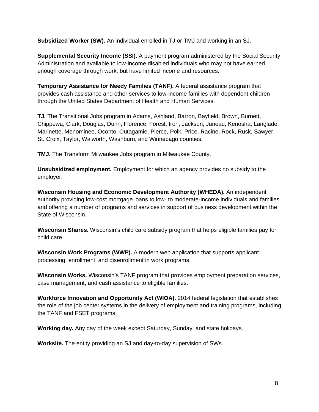**Subsidized Worker (SW).** An individual enrolled in TJ or TMJ and working in an SJ.

**Supplemental Security Income (SSI).** A payment program administered by the Social Security Administration and available to low-income disabled individuals who may not have earned enough coverage through work, but have limited income and resources.

**Temporary Assistance for Needy Families (TANF).** A federal assistance program that provides cash assistance and other services to low-income families with dependent children through the United States Department of Health and Human Services.

**TJ.** The Transitional Jobs program in Adams, Ashland, Barron, Bayfield, Brown, Burnett, Chippewa, Clark, Douglas, Dunn, Florence, Forest, Iron, Jackson, Juneau, Kenosha, Langlade, Marinette, Menominee, Oconto, Outagamie, Pierce, Polk, Price, Racine, Rock, Rusk, Sawyer, St. Croix, Taylor, Walworth, Washburn, and Winnebago counties.

**TMJ.** The Transform Milwaukee Jobs program in Milwaukee County.

**Unsubsidized employment.** Employment for which an agency provides no subsidy to the employer.

**Wisconsin Housing and Economic Development Authority (WHEDA).** An independent authority providing low-cost mortgage loans to low- to moderate-income individuals and families and offering a number of programs and services in support of business development within the State of Wisconsin.

**Wisconsin Shares.** Wisconsin's child care subsidy program that helps eligible families pay for child care.

**Wisconsin Work Programs (WWP).** A modern web application that supports applicant processing, enrollment, and disenrollment in work programs.

**Wisconsin Works.** Wisconsin's TANF program that provides employment preparation services, case management, and cash assistance to eligible families.

**Workforce Innovation and Opportunity Act (WIOA).** 2014 federal legislation that establishes the role of the job center systems in the delivery of employment and training programs, including the TANF and FSET programs.

**Working day.** Any day of the week except Saturday, Sunday, and state holidays.

**Worksite.** The entity providing an SJ and day-to-day supervision of SWs.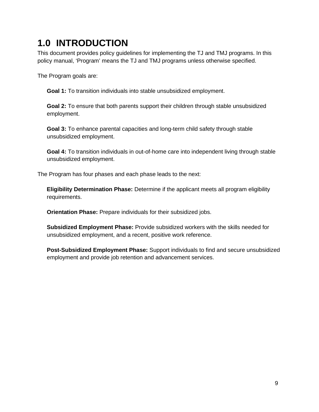# <span id="page-9-0"></span>**1.0 INTRODUCTION**

This document provides policy guidelines for implementing the TJ and TMJ programs. In this policy manual, 'Program' means the TJ and TMJ programs unless otherwise specified.

The Program goals are:

**Goal 1:** To transition individuals into stable unsubsidized employment.

**Goal 2:** To ensure that both parents support their children through stable unsubsidized employment.

**Goal 3:** To enhance parental capacities and long-term child safety through stable unsubsidized employment.

**Goal 4:** To transition individuals in out-of-home care into independent living through stable unsubsidized employment.

The Program has four phases and each phase leads to the next:

**Eligibility Determination Phase:** Determine if the applicant meets all program eligibility requirements.

**Orientation Phase:** Prepare individuals for their subsidized jobs.

**Subsidized Employment Phase:** Provide subsidized workers with the skills needed for unsubsidized employment, and a recent, positive work reference.

**Post-Subsidized Employment Phase:** Support individuals to find and secure unsubsidized employment and provide job retention and advancement services.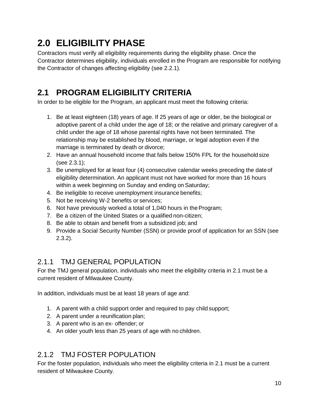# <span id="page-10-0"></span>**2.0 ELIGIBILITY PHASE**

Contractors must verify all eligibility requirements during the eligibility phase. Once the Contractor determines eligibility, individuals enrolled in the Program are responsible for notifying the Contractor of changes affecting eligibility (see 2.2.1).

## <span id="page-10-1"></span>**2.1 PROGRAM ELIGIBILITY CRITERIA**

In order to be eligible for the Program, an applicant must meet the following criteria:

- 1. Be at least eighteen (18) years of age. If 25 years of age or older, be the biological or adoptive parent of a child under the age of 18; or the relative and primary caregiver of a child under the age of 18 whose parental rights have not been terminated. The relationship may be established by blood, marriage, or legal adoption even if the marriage is terminated by death or divorce;
- 2. Have an annual household income that falls below 150% FPL for the householdsize (see 2.3.1);
- 3. Be unemployed for at least four (4) consecutive calendar weeks preceding the dateof eligibility determination. An applicant must not have worked for more than 16 hours within a week beginning on Sunday and ending on Saturday;
- 4. Be ineligible to receive unemployment insurance benefits;
- 5. Not be receiving W-2 benefits or services;
- 6. Not have previously worked a total of 1,040 hours in theProgram;
- 7. Be a citizen of the United States or a qualified non-citizen;
- 8. Be able to obtain and benefit from a subsidized job; and
- 9. Provide a Social Security Number (SSN) or provide proof of application for an SSN (see 2.3.2).

#### <span id="page-10-2"></span>2.1.1 TMJ GENERAL POPULATION

For the TMJ general population, individuals who meet the eligibility criteria in 2.1 must be a current resident of Milwaukee County.

In addition, individuals must be at least 18 years of age and:

- 1. A parent with a child support order and required to pay child support;
- 2. A parent under a reunification plan;
- 3. A parent who is an ex- offender; or
- 4. An older youth less than 25 years of age with no children.

#### <span id="page-10-3"></span>2.1.2 TMJ FOSTER POPULATION

For the foster population, individuals who meet the eligibility criteria in 2.1 must be a current resident of Milwaukee County.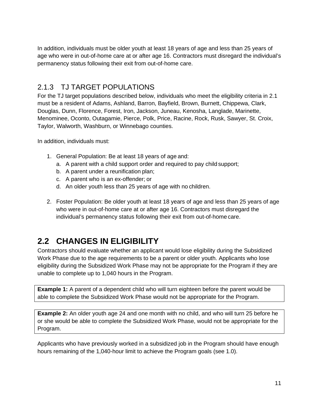In addition, individuals must be older youth at least 18 years of age and less than 25 years of age who were in out-of-home care at or after age 16. Contractors must disregard the individual's permanency status following their exit from out-of-home care.

#### <span id="page-11-0"></span>2.1.3 TJ TARGET POPULATIONS

For the TJ target populations described below, individuals who meet the eligibility criteria in 2.1 must be a resident of Adams, Ashland, Barron, Bayfield, Brown, Burnett, Chippewa, Clark, Douglas, Dunn, Florence, Forest, Iron, Jackson, Juneau, Kenosha, Langlade, Marinette, Menominee, Oconto, Outagamie, Pierce, Polk, Price, Racine, Rock, Rusk, Sawyer, St. Croix, Taylor, Walworth, Washburn, or Winnebago counties.

In addition, individuals must:

- 1. General Population: Be at least 18 years of age and:
	- a. A parent with a child support order and required to pay child support;
	- b. A parent under a reunification plan;
	- c. A parent who is an ex-offender; or
	- d. An older youth less than 25 years of age with no children.
- 2. Foster Population: Be older youth at least 18 years of age and less than 25 years of age who were in out-of-home care at or after age 16. Contractors must disregard the individual's permanency status following their exit from out-of-home care.

## <span id="page-11-1"></span>**2.2 CHANGES IN ELIGIBILITY**

Contractors should evaluate whether an applicant would lose eligibility during the Subsidized Work Phase due to the age requirements to be a parent or older youth. Applicants who lose eligibility during the Subsidized Work Phase may not be appropriate for the Program if they are unable to complete up to 1,040 hours in the Program.

**Example 1:** A parent of a dependent child who will turn eighteen before the parent would be able to complete the Subsidized Work Phase would not be appropriate for the Program.

**Example 2:** An older youth age 24 and one month with no child, and who will turn 25 before he or she would be able to complete the Subsidized Work Phase, would not be appropriate for the Program.

Applicants who have previously worked in a subsidized job in the Program should have enough hours remaining of the 1,040-hour limit to achieve the Program goals (see 1.0).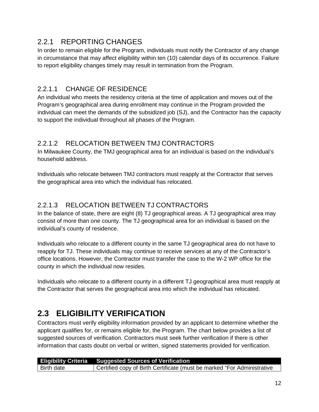#### <span id="page-12-0"></span>2.2.1 REPORTING CHANGES

In order to remain eligible for the Program, individuals must notify the Contractor of any change in circumstance that may affect eligibility within ten (10) calendar days of its occurrence. Failure to report eligibility changes timely may result in termination from the Program.

#### <span id="page-12-1"></span>2.2.1.1 CHANGE OF RESIDENCE

An individual who meets the residency criteria at the time of application and moves out of the Program's geographical area during enrollment may continue in the Program provided the individual can meet the demands of the subsidized job (SJ), and the Contractor has the capacity to support the individual throughout all phases of the Program.

#### <span id="page-12-2"></span>2.2.1.2 RELOCATION BETWEEN TMJ CONTRACTORS

In Milwaukee County, the TMJ geographical area for an individual is based on the individual's household address.

Individuals who relocate between TMJ contractors must reapply at the Contractor that serves the geographical area into which the individual has relocated.

#### <span id="page-12-3"></span>2.2.1.3 RELOCATION BETWEEN TJ CONTRACTORS

In the balance of state, there are eight (8) TJ geographical areas. A TJ geographical area may consist of more than one county. The TJ geographical area for an individual is based on the individual's county of residence.

Individuals who relocate to a different county in the same TJ geographical area do not have to reapply for TJ. These individuals may continue to receive services at any of the Contractor's office locations. However, the Contractor must transfer the case to the W-2 WP office for the county in which the individual now resides.

Individuals who relocate to a different county in a different TJ geographical area must reapply at the Contractor that serves the geographical area into which the individual has relocated.

### <span id="page-12-4"></span>**2.3 ELIGIBILITY VERIFICATION**

Contractors must verify eligibility information provided by an applicant to determine whether the applicant qualifies for, or remains eligible for, the Program. The chart below provides a list of suggested sources of verification. Contractors must seek further verification if there is other information that casts doubt on verbal or written, signed statements provided for verification.

|               | <b>Eligibility Criteria</b> Suggested Sources of Verification                        |
|---------------|--------------------------------------------------------------------------------------|
| l Birth date. | <sup>1</sup> Certified copy of Birth Certificate (must be marked "For Administrative |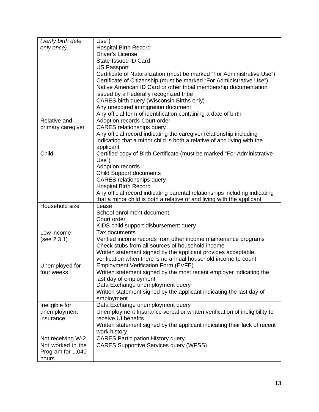| (verify birth date | Use")                                                                      |
|--------------------|----------------------------------------------------------------------------|
| only once)         | <b>Hospital Birth Record</b>                                               |
|                    | Driver's License                                                           |
|                    | State-Issued ID Card                                                       |
|                    | <b>US Passport</b>                                                         |
|                    | Certificate of Naturalization (must be marked "For Administrative Use")    |
|                    | Certificate of Citizenship (must be marked "For Administrative Use")       |
|                    | Native American ID Card or other tribal membership documentation           |
|                    | issued by a Federally recognized tribe                                     |
|                    | CARES birth query (Wisconsin Births only)                                  |
|                    | Any unexpired immigration document                                         |
|                    | Any official form of identification containing a date of birth             |
| Relative and       | Adoption records Court order                                               |
| primary caregiver  | <b>CARES</b> relationships query                                           |
|                    | Any official record indicating the caregiver relationship including        |
|                    | indicating that a minor child is both a relative of and living with the    |
|                    | applicant                                                                  |
| Child              | Certified copy of Birth Certificate (must be marked "For Administrative    |
|                    | Use")                                                                      |
|                    | Adoption records                                                           |
|                    | <b>Child Support documents</b>                                             |
|                    | <b>CARES</b> relationships query                                           |
|                    | <b>Hospital Birth Record</b>                                               |
|                    | Any official record indicating parental relationships including indicating |
|                    | that a minor child is both a relative of and living with the applicant     |
| Household size     | Lease                                                                      |
|                    | School enrollment document                                                 |
|                    | Court order                                                                |
|                    | KIDS child support disbursement query                                      |
| Low income         | Tax documents                                                              |
| (see 2.3.1)        | Verified income records from other income maintenance programs             |
|                    | Check stubs from all sources of household income                           |
|                    | Written statement signed by the applicant provides acceptable              |
|                    | verification when there is no annual household income to count             |
| Unemployed for     | <b>Employment Verification Form (EVFE)</b>                                 |
| four weeks         | Written statement signed by the most recent employer indicating the        |
|                    | last day of employment                                                     |
|                    | Data Exchange unemployment query                                           |
|                    | Written statement signed by the applicant indicating the last day of       |
|                    | employment                                                                 |
| Ineligible for     | Data Exchange unemployment query                                           |
| unemployment       | Unemployment Insurance verbal or written verification of ineligibility to  |
| insurance          | receive UI benefits                                                        |
|                    | Written statement signed by the applicant indicating their lack of recent  |
|                    | work history                                                               |
| Not receiving W-2  | <b>CARES Participation History query</b>                                   |
| Not worked in the  | <b>CARES Supportive Services query (WPSS)</b>                              |
| Program for 1,040  |                                                                            |
| hours              |                                                                            |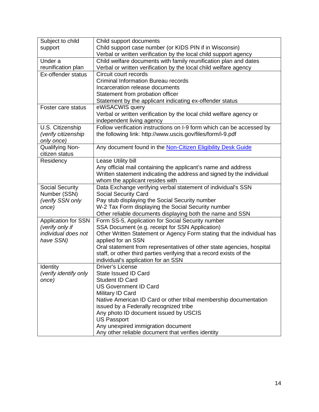| Subject to child           | Child support documents                                                |
|----------------------------|------------------------------------------------------------------------|
| support                    | Child support case number (or KIDS PIN if in Wisconsin)                |
|                            | Verbal or written verification by the local child support agency       |
| Under a                    | Child welfare documents with family reunification plan and dates       |
| reunification plan         | Verbal or written verification by the local child welfare agency       |
| Ex-offender status         | Circuit court records                                                  |
|                            | <b>Criminal Information Bureau records</b>                             |
|                            | Incarceration release documents                                        |
|                            | Statement from probation officer                                       |
|                            | Statement by the applicant indicating ex-offender status               |
| Foster care status         | eWiSACWIS query                                                        |
|                            | Verbal or written verification by the local child welfare agency or    |
|                            | independent living agency                                              |
| U.S. Citizenship           | Follow verification instructions on I-9 form which can be accessed by  |
| (verify citizenship        | the following link: http://www.uscis.gov/files/form/i-9.pdf            |
| only once)                 |                                                                        |
| Qualifying Non-            | Any document found in the Non-Citizen Eligibility Desk Guide           |
| citizen status             |                                                                        |
| Residency                  | Lease Utility bill                                                     |
|                            | Any official mail containing the applicant's name and address          |
|                            | Written statement indicating the address and signed by the individual  |
|                            | whom the applicant resides with                                        |
| <b>Social Security</b>     | Data Exchange verifying verbal statement of individual's SSN           |
| Number (SSN)               | <b>Social Security Card</b>                                            |
| (verify SSN only           | Pay stub displaying the Social Security number                         |
| once)                      | W-2 Tax Form displaying the Social Security number                     |
|                            | Other reliable documents displaying both the name and SSN              |
| <b>Application for SSN</b> | Form SS-5, Application for Social Security number                      |
| (verify only if            | SSA Document (e.g. receipt for SSN Application)                        |
| individual does not        | Other Written Statement or Agency Form stating that the individual has |
| have SSN)                  | applied for an SSN                                                     |
|                            | Oral statement from representatives of other state agencies, hospital  |
|                            | staff, or other third parties verifying that a record exists of the    |
|                            | individual's application for an SSN                                    |
| Identity                   | <b>Driver's License</b>                                                |
| (verify identify only      | State Issued ID Card                                                   |
| once)                      | <b>Student ID Card</b>                                                 |
|                            | <b>US Government ID Card</b>                                           |
|                            | Military ID Card                                                       |
|                            | Native American ID Card or other tribal membership documentation       |
|                            | issued by a Federally recognized tribe                                 |
|                            | Any photo ID document issued by USCIS                                  |
|                            | <b>US Passport</b>                                                     |
|                            | Any unexpired immigration document                                     |
|                            | Any other reliable document that verifies identity                     |
|                            |                                                                        |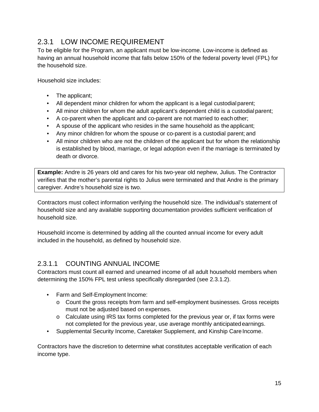#### <span id="page-15-0"></span>2.3.1 LOW INCOME REQUIREMENT

To be eligible for the Program, an applicant must be low-income. Low-income is defined as having an annual household income that falls below 150% of the federal poverty level (FPL) for the household size.

Household size includes:

- The applicant;
- All dependent minor children for whom the applicant is a legal custodial parent;
- All minor children for whom the adult applicant's dependent child is a custodial parent;
- A co-parent when the applicant and co-parent are not married to each other;
- A spouse of the applicant who resides in the same household as the applicant;
- Any minor children for whom the spouse or co-parent is a custodial parent; and
- All minor children who are not the children of the applicant but for whom the relationship is established by blood, marriage, or legal adoption even if the marriage is terminated by death or divorce.

**Example:** Andre is 26 years old and cares for his two-year old nephew, Julius. The Contractor verifies that the mother's parental rights to Julius were terminated and that Andre is the primary caregiver. Andre's household size is two.

Contractors must collect information verifying the household size. The individual's statement of household size and any available supporting documentation provides sufficient verification of household size.

Household income is determined by adding all the counted annual income for every adult included in the household, as defined by household size.

#### <span id="page-15-1"></span>2.3.1.1 COUNTING ANNUAL INCOME

Contractors must count all earned and unearned income of all adult household members when determining the 150% FPL test unless specifically disregarded (see 2.3.1.2).

- Farm and Self-Employment Income:
	- o Count the gross receipts from farm and self-employment businesses. Gross receipts must not be adjusted based on expenses.
	- $\circ$  Calculate using IRS tax forms completed for the previous year or, if tax forms were not completed for the previous year, use average monthly anticipatedearnings.
- Supplemental Security Income, Caretaker Supplement, and Kinship Care Income.

Contractors have the discretion to determine what constitutes acceptable verification of each income type.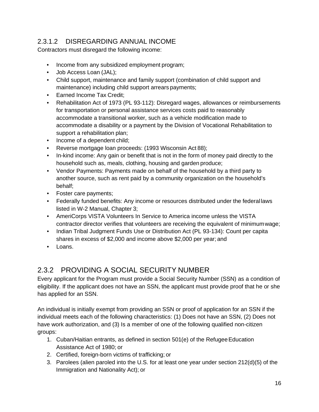#### <span id="page-16-0"></span>2.3.1.2 DISREGARDING ANNUAL INCOME

Contractors must disregard the following income:

- Income from any subsidized employment program;
- Job Access Loan (JAL);
- Child support, maintenance and family support (combination of child support and maintenance) including child support arrears payments;
- Earned Income Tax Credit;
- Rehabilitation Act of 1973 (PL 93-112): Disregard wages, allowances or reimbursements for transportation or personal assistance services costs paid to reasonably accommodate a transitional worker, such as a vehicle modification made to accommodate a disability or a payment by the Division of Vocational Rehabilitation to support a rehabilitation plan;
- Income of a dependent child;
- Reverse mortgage loan proceeds: (1993 Wisconsin Act 88);
- In-kind income: Any gain or benefit that is not in the form of money paid directly to the household such as, meals, clothing, housing and garden produce;
- Vendor Payments: Payments made on behalf of the household by a third party to another source, such as rent paid by a community organization on the household's behalf;
- Foster care payments;
- Federally funded benefits: Any income or resources distributed under the federal laws listed in W-2 Manual, Chapter 3;
- AmeriCorps VISTA Volunteers In Service to America income unless the VISTA contractor director verifies that volunteers are receiving the equivalent of minimumwage;
- Indian Tribal Judgment Funds Use or Distribution Act (PL 93-134): Count per capita shares in excess of \$2,000 and income above \$2,000 per year; and
- Loans.

#### <span id="page-16-1"></span>2.3.2 PROVIDING A SOCIAL SECURITY NUMBER

Every applicant for the Program must provide a Social Security Number (SSN) as a condition of eligibility. If the applicant does not have an SSN, the applicant must provide proof that he or she has applied for an SSN.

An individual is initially exempt from providing an SSN or proof of application for an SSN if the individual meets each of the following characteristics: (1) Does not have an SSN, (2) Does not have work authorization, and (3) Is a member of one of the following qualified non-citizen groups:

- 1. Cuban/Haitian entrants, as defined in section 501(e) of the Refugee Education Assistance Act of 1980; or
- 2. Certified, foreign-born victims of trafficking; or
- 3. Parolees (alien paroled into the U.S. for at least one year under section 212(d)(5) of the Immigration and Nationality Act); or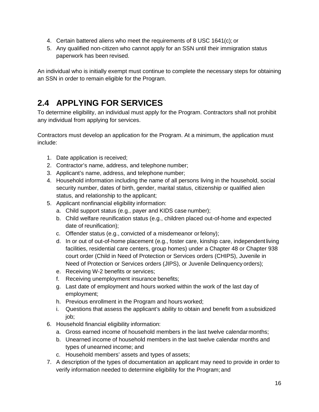- 4. Certain battered aliens who meet the requirements of 8 USC 1641(c); or
- 5. Any qualified non-citizen who cannot apply for an SSN until their immigration status paperwork has been revised.

An individual who is initially exempt must continue to complete the necessary steps for obtaining an SSN in order to remain eligible for the Program.

### <span id="page-17-0"></span>**2.4 APPLYING FOR SERVICES**

To determine eligibility, an individual must apply for the Program. Contractors shall not prohibit any individual from applying for services.

Contractors must develop an application for the Program. At a minimum, the application must include:

- 1. Date application is received;
- 2. Contractor's name, address, and telephone number;
- 3. Applicant's name, address, and telephone number;
- 4. Household information including the name of all persons living in the household, social security number, dates of birth, gender, marital status, citizenship or qualified alien status, and relationship to the applicant;
- 5. Applicant nonfinancial eligibility information:
	- a. Child support status (e.g., payer and KIDS case number);
	- b. Child welfare reunification status (e.g., children placed out-of-home and expected date of reunification);
	- c. Offender status (e.g., convicted of a misdemeanor orfelony);
	- d. In or out of out-of-home placement (e.g., foster care, kinship care, independentliving facilities, residential care centers, group homes) under a Chapter 48 or Chapter 938 court order (Child in Need of Protection or Services orders (CHIPS), Juvenile in Need of Protection or Services orders (JIPS), or Juvenile Delinquency orders);
	- e. Receiving W-2 benefits or services;
	- f. Receiving unemployment insurance benefits;
	- g. Last date of employment and hours worked within the work of the last day of employment;
	- h. Previous enrollment in the Program and hours worked;
	- i. Questions that assess the applicant's ability to obtain and benefit from a subsidized job;
- 6. Household financial eligibility information:
	- a. Gross earned income of household members in the last twelve calendarmonths;
	- b. Unearned income of household members in the last twelve calendar months and types of unearned income; and
	- c. Household members' assets and types of assets;
- 7. A description of the types of documentation an applicant may need to provide in order to verify information needed to determine eligibility for the Program; and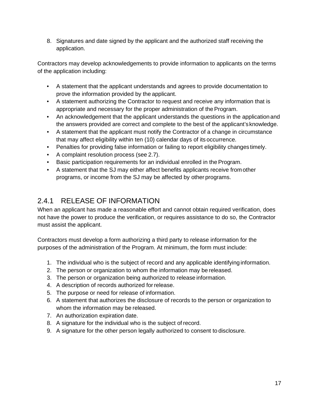8. Signatures and date signed by the applicant and the authorized staff receiving the application.

Contractors may develop acknowledgements to provide information to applicants on the terms of the application including:

- A statement that the applicant understands and agrees to provide documentation to prove the information provided by the applicant.
- A statement authorizing the Contractor to request and receive any information that is appropriate and necessary for the proper administration of the Program.
- An acknowledgement that the applicant understands the questions in the application and the answers provided are correct and complete to the best of the applicant's knowledge.
- A statement that the applicant must notify the Contractor of a change in circumstance that may affect eligibility within ten (10) calendar days of its occurrence.
- Penalties for providing false information or failing to report eligibility changes timely.
- A complaint resolution process (see 2.7).
- Basic participation requirements for an individual enrolled in the Program.
- A statement that the SJ may either affect benefits applicants receive from other programs, or income from the SJ may be affected by other programs.

#### <span id="page-18-0"></span>2.4.1 RELEASE OF INFORMATION

When an applicant has made a reasonable effort and cannot obtain required verification, does not have the power to produce the verification, or requires assistance to do so, the Contractor must assist the applicant.

Contractors must develop a form authorizing a third party to release information for the purposes of the administration of the Program. At minimum, the form must include:

- 1. The individual who is the subject of record and any applicable identifying information.
- 2. The person or organization to whom the information may be released.
- 3. The person or organization being authorized to release information.
- 4. A description of records authorized for release.
- 5. The purpose or need for release of information.
- 6. A statement that authorizes the disclosure of records to the person or organization to whom the information may be released.
- 7. An authorization expiration date.
- 8. A signature for the individual who is the subject of record.
- 9. A signature for the other person legally authorized to consent to disclosure.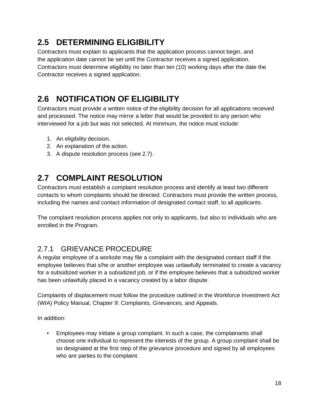## <span id="page-19-0"></span>**2.5 DETERMINING ELIGIBILITY**

Contractors must explain to applicants that the application process cannot begin, and the application date cannot be set until the Contractor receives a signed application. Contractors must determine eligibility no later than ten (10) working days after the date the Contractor receives a signed application.

## <span id="page-19-1"></span>**2.6 NOTIFICATION OF ELIGIBILITY**

Contractors must provide a written notice of the eligibility decision for all applications received and processed. The notice may mirror a letter that would be provided to any person who interviewed for a job but was not selected. At minimum, the notice must include:

- 1. An eligibility decision.
- 2. An explanation of the action.
- 3. A dispute resolution process (see 2.7).

## <span id="page-19-2"></span>**2.7 COMPLAINT RESOLUTION**

Contractors must establish a complaint resolution process and identify at least two different contacts to whom complaints should be directed. Contractors must provide the written process, including the names and contact information of designated contact staff, to all applicants.

The complaint resolution process applies not only to applicants, but also to individuals who are enrolled in the Program.

#### <span id="page-19-3"></span>2.7.1 GRIEVANCE PROCEDURE

A regular employee of a worksite may file a complaint with the designated contact staff if the employee believes that s/he or another employee was unlawfully terminated to create a vacancy for a subsidized worker in a subsidized job, or if the employee believes that a subsidized worker has been unlawfully placed in a vacancy created by a labor dispute.

Complaints of displacement must follow the procedure outlined in the Workforce Investment Act (WIA) Policy Manual, Chapter 9: Complaints, Grievances, and Appeals.

In addition:

• Employees may initiate a group complaint. In such a case, the complainants shall choose one individual to represent the interests of the group. A group complaint shall be so designated at the first step of the grievance procedure and signed by all employees who are parties to the complaint.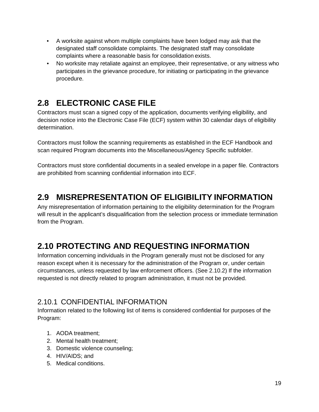- A worksite against whom multiple complaints have been lodged may ask that the designated staff consolidate complaints. The designated staff may consolidate complaints where a reasonable basis for consolidation exists.
- No worksite may retaliate against an employee, their representative, or any witness who participates in the grievance procedure, for initiating or participating in the grievance procedure.

## <span id="page-20-0"></span>**2.8 ELECTRONIC CASE FILE**

Contractors must scan a signed copy of the application, documents verifying eligibility, and decision notice into the Electronic Case File (ECF) system within 30 calendar days of eligibility determination.

Contractors must follow the scanning requirements as established in the ECF Handbook and scan required Program documents into the Miscellaneous/Agency Specific subfolder.

Contractors must store confidential documents in a sealed envelope in a paper file. Contractors are prohibited from scanning confidential information into ECF.

### <span id="page-20-1"></span>**2.9 MISREPRESENTATION OF ELIGIBILITY INFORMATION**

Any misrepresentation of information pertaining to the eligibility determination for the Program will result in the applicant's disqualification from the selection process or immediate termination from the Program.

## <span id="page-20-2"></span>**2.10 PROTECTING AND REQUESTING INFORMATION**

Information concerning individuals in the Program generally must not be disclosed for any reason except when it is necessary for the administration of the Program or, under certain circumstances, unless requested by law enforcement officers. (See 2.10.2) If the information requested is not directly related to program administration, it must not be provided.

#### <span id="page-20-3"></span>2.10.1 CONFIDENTIAL INFORMATION

Information related to the following list of items is considered confidential for purposes of the Program:

- 1. AODA treatment;
- 2. Mental health treatment;
- 3. Domestic violence counseling;
- 4. HIV/AIDS; and
- 5. Medical conditions.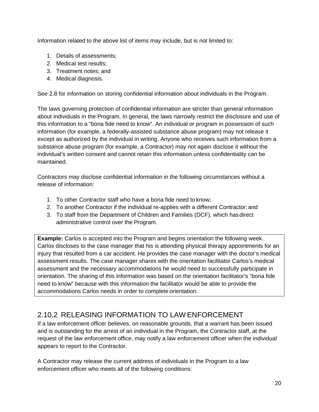Information related to the above list of items may include, but is not limited to:

- 1. Details of assessments;
- 2. Medical test results;
- 3. Treatment notes; and
- 4. Medical diagnosis.

See 2.8 for information on storing confidential information about individuals in the Program.

The laws governing protection of confidential information are stricter than general information about individuals in the Program. In general, the laws narrowly restrict the disclosure and use of this information to a "bona fide need to know". An individual or program in possession of such information (for example, a federally-assisted substance abuse program) may not release it except as authorized by the individual in writing. Anyone who receives such information from a substance abuse program (for example, a Contractor) may not again disclose it without the individual's written consent and cannot retain this information unless confidentiality can be maintained.

Contractors may disclose confidential information in the following circumstances without a release of information:

- 1. To other Contractor staff who have a bona fide need to know;
- 2. To another Contractor if the individual re-applies with a different Contractor;and
- 3. To staff from the Department of Children and Families (DCF), which hasdirect administrative control over the Program.

**Example:** Carlos is accepted into the Program and begins orientation the following week. Carlos discloses to the case manager that his is attending physical therapy appointments for an injury that resulted from a car accident. He provides the case manager with the doctor's medical assessment results. The case manager shares with the orientation facilitator Carlos's medical assessment and the necessary accommodations he would need to successfully participate in orientation. The sharing of this information was based on the orientation facilitator's "bona fide need to know" because with this information the facilitator would be able to provide the accommodations Carlos needs in order to complete orientation.

#### <span id="page-21-0"></span>2.10.2 RELEASING INFORMATION TO LAW ENFORCEMENT

If a law enforcement officer believes, on reasonable grounds, that a warrant has been issued and is outstanding for the arrest of an individual in the Program, the Contractor staff, at the request of the law enforcement office, may notify a law enforcement officer when the individual appears to report to the Contractor.

A Contractor may release the current address of individuals in the Program to a law enforcement officer who meets all of the following conditions: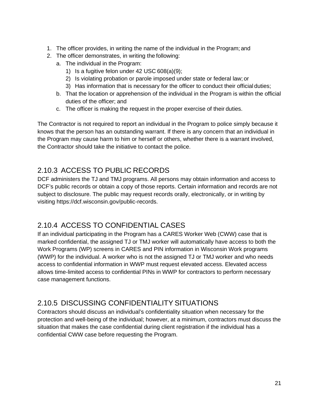- 1. The officer provides, in writing the name of the individual in the Program; and
- 2. The officer demonstrates, in writing the following:
	- a. The individual in the Program:
		- 1) Is a fugitive felon under 42 USC 608(a)(9);
		- 2) Is violating probation or parole imposed under state or federal law; or
		- 3) Has information that is necessary for the officer to conduct their official duties;
	- b. That the location or apprehension of the individual in the Program is within the official duties of the officer; and
	- c. The officer is making the request in the proper exercise of their duties.

The Contractor is not required to report an individual in the Program to police simply because it knows that the person has an outstanding warrant. If there is any concern that an individual in the Program may cause harm to him or herself or others, whether there is a warrant involved, the Contractor should take the initiative to contact the police.

#### <span id="page-22-0"></span>2.10.3 ACCESS TO PUBLIC RECORDS

DCF administers the TJ and TMJ programs. All persons may obtain information and access to DCF's public records or obtain a copy of those reports. Certain information and records are not subject to disclosure. The public may request records orally, electronically, or in writing by visiting https://dcf.wisconsin.gov/public-records.

#### <span id="page-22-1"></span>2.10.4 ACCESS TO CONFIDENTIAL CASES

If an individual participating in the Program has a CARES Worker Web (CWW) case that is marked confidential, the assigned TJ or TMJ worker will automatically have access to both the Work Programs (WP) screens in CARES and PIN information in Wisconsin Work programs (WWP) for the individual. A worker who is not the assigned TJ or TMJ worker and who needs access to confidential information in WWP must request elevated access. Elevated access allows time-limited access to confidential PINs in WWP for contractors to perform necessary case management functions.

#### <span id="page-22-2"></span>2.10.5 DISCUSSING CONFIDENTIALITY SITUATIONS

Contractors should discuss an individual's confidentiality situation when necessary for the protection and well-being of the individual; however, at a minimum, contractors must discuss the situation that makes the case confidential during client registration if the individual has a confidential CWW case before requesting the Program.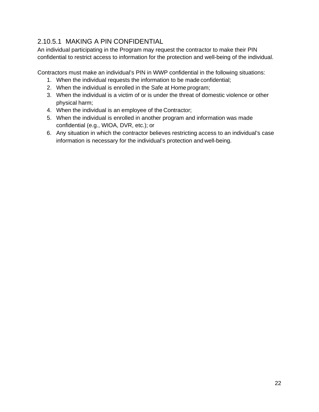#### <span id="page-23-0"></span>2.10.5.1 MAKING A PIN CONFIDENTIAL

An individual participating in the Program may request the contractor to make their PIN confidential to restrict access to information for the protection and well-being of the individual.

Contractors must make an individual's PIN in WWP confidential in the following situations:

- 1. When the individual requests the information to be made confidential;
- 2. When the individual is enrolled in the Safe at Home program;
- 3. When the individual is a victim of or is under the threat of domestic violence or other physical harm;
- 4. When the individual is an employee of the Contractor;
- 5. When the individual is enrolled in another program and information was made confidential (e.g., WIOA, DVR, etc.); or
- 6. Any situation in which the contractor believes restricting access to an individual's case information is necessary for the individual's protection and well-being.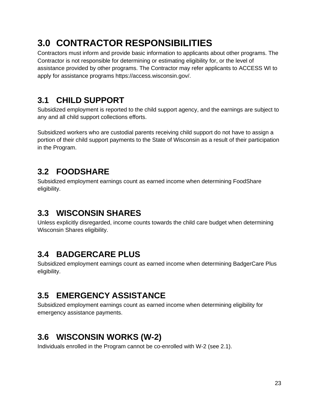# <span id="page-24-0"></span>**3.0 CONTRACTOR RESPONSIBILITIES**

Contractors must inform and provide basic information to applicants about other programs. The Contractor is not responsible for determining or estimating eligibility for, or the level of assistance provided by other programs. The Contractor may refer applicants to ACCESS WI to apply for assistance programs https://access.wisconsin.gov/.

## <span id="page-24-1"></span>**3.1 CHILD SUPPORT**

Subsidized employment is reported to the child support agency, and the earnings are subject to any and all child support collections efforts.

Subsidized workers who are custodial parents receiving child support do not have to assign a portion of their child support payments to the State of Wisconsin as a result of their participation in the Program.

#### <span id="page-24-2"></span>**3.2 FOODSHARE**

Subsidized employment earnings count as earned income when determining FoodShare eligibility.

### <span id="page-24-3"></span>**3.3 WISCONSIN SHARES**

Unless explicitly disregarded, income counts towards the child care budget when determining Wisconsin Shares eligibility.

### <span id="page-24-4"></span>**3.4 BADGERCARE PLUS**

Subsidized employment earnings count as earned income when determining BadgerCare Plus eligibility.

### <span id="page-24-5"></span>**3.5 EMERGENCY ASSISTANCE**

Subsidized employment earnings count as earned income when determining eligibility for emergency assistance payments.

## <span id="page-24-6"></span>**3.6 WISCONSIN WORKS (W-2)**

Individuals enrolled in the Program cannot be co-enrolled with W-2 (see 2.1).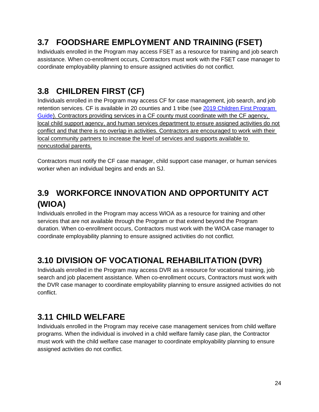## <span id="page-25-0"></span>**3.7 FOODSHARE EMPLOYMENT AND TRAINING (FSET)**

Individuals enrolled in the Program may access FSET as a resource for training and job search assistance. When co-enrollment occurs, Contractors must work with the FSET case manager to coordinate employability planning to ensure assigned activities do not conflict.

## <span id="page-25-1"></span>**3.8 CHILDREN FIRST (CF)**

Individuals enrolled in the Program may access CF for case management, job search, and job retention services. CF is available in 20 counties and 1 tribe (see [2019 Children First Program](https://dcf.wisconsin.gov/files/w2/admin-memos/pdf/18-06attachment4.pdf) [Guide\)](https://dcf.wisconsin.gov/files/w2/admin-memos/pdf/18-06attachment4.pdf). Contractors providing services in a CF county must coordinate with the CF agency, local child support agency, and human services department to ensure assigned activities do not conflict and that there is no overlap in activities. Contractors are encouraged to work with their local community partners to increase the level of services and supports available to noncustodial parents.

Contractors must notify the CF case manager, child support case manager, or human services worker when an individual begins and ends an SJ.

## <span id="page-25-2"></span>**3.9 WORKFORCE INNOVATION AND OPPORTUNITY ACT (WIOA)**

Individuals enrolled in the Program may access WIOA as a resource for training and other services that are not available through the Program or that extend beyond the Program duration. When co-enrollment occurs, Contractors must work with the WIOA case manager to coordinate employability planning to ensure assigned activities do not conflict.

## <span id="page-25-3"></span>**3.10 DIVISION OF VOCATIONAL REHABILITATION (DVR)**

Individuals enrolled in the Program may access DVR as a resource for vocational training, job search and job placement assistance. When co-enrollment occurs, Contractors must work with the DVR case manager to coordinate employability planning to ensure assigned activities do not conflict.

### <span id="page-25-4"></span>**3.11 CHILD WELFARE**

Individuals enrolled in the Program may receive case management services from child welfare programs. When the individual is involved in a child welfare family case plan, the Contractor must work with the child welfare case manager to coordinate employability planning to ensure assigned activities do not conflict.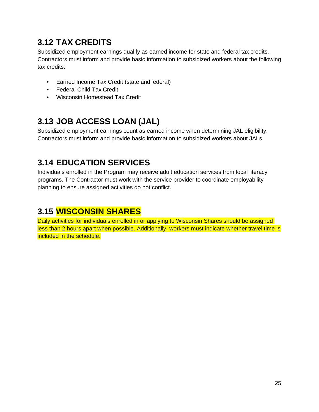## <span id="page-26-0"></span>**3.12 TAX CREDITS**

Subsidized employment earnings qualify as earned income for state and federal tax credits. Contractors must inform and provide basic information to subsidized workers about the following tax credits:

- Earned Income Tax Credit (state and federal)
- Federal Child Tax Credit
- Wisconsin Homestead Tax Credit

## <span id="page-26-1"></span>**3.13 JOB ACCESS LOAN (JAL)**

Subsidized employment earnings count as earned income when determining JAL eligibility. Contractors must inform and provide basic information to subsidized workers about JALs.

## <span id="page-26-2"></span>**3.14 EDUCATION SERVICES**

Individuals enrolled in the Program may receive adult education services from local literacy programs. The Contractor must work with the service provider to coordinate employability planning to ensure assigned activities do not conflict.

### <span id="page-26-3"></span>**3.15 WISCONSIN SHARES**

Daily activities for individuals enrolled in or applying to Wisconsin Shares should be assigned less than 2 hours apart when possible. Additionally, workers must indicate whether travel time is included in the schedule.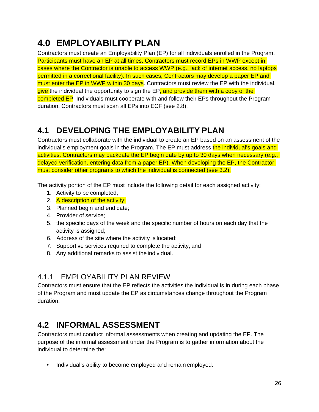# <span id="page-27-0"></span>**4.0 EMPLOYABILITY PLAN**

Contractors must create an Employability Plan (EP) for all individuals enrolled in the Program. Participants must have an EP at all times. Contractors must record EPs in WWP except in cases where the Contractor is unable to access WWP (e.g., lack of internet access, no laptops permitted in a correctional facility). In such cases, Contractors may develop a paper EP and must enter the EP in WWP within 30 days. Contractors must review the EP with the individual, give the individual the opportunity to sign the EP, and provide them with a copy of the completed EP. Individuals must cooperate with and follow their EPs throughout the Program duration. Contractors must scan all EPs into ECF (see 2.8).

## <span id="page-27-1"></span>**4.1 DEVELOPING THE EMPLOYABILITY PLAN**

Contractors must collaborate with the individual to create an EP based on an assessment of the individual's employment goals in the Program. The EP must address the individual's goals and activities. Contractors may backdate the EP begin date by up to 30 days when necessary (e.g., delayed verification, entering data from a paper EP). When developing the EP, the Contractor must consider other programs to which the individual is connected (see 3.2).

The activity portion of the EP must include the following detail for each assigned activity:

- 1. Activity to be completed;
- 2. A description of the activity;
- 3. Planned begin and end date;
- 4. Provider of service;
- 5. the specific days of the week and the specific number of hours on each day that the activity is assigned;
- 6. Address of the site where the activity is located;
- 7. Supportive services required to complete the activity; and
- 8. Any additional remarks to assist the individual.

#### <span id="page-27-2"></span>4.1.1 EMPLOYABILITY PLAN REVIEW

Contractors must ensure that the EP reflects the activities the individual is in during each phase of the Program and must update the EP as circumstances change throughout the Program duration.

### <span id="page-27-3"></span>**4.2 INFORMAL ASSESSMENT**

Contractors must conduct informal assessments when creating and updating the EP. The purpose of the informal assessment under the Program is to gather information about the individual to determine the:

• Individual's ability to become employed and remain employed.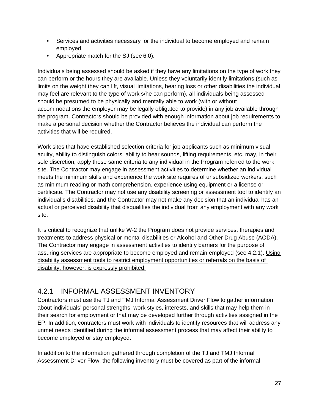- Services and activities necessary for the individual to become employed and remain employed.
- Appropriate match for the SJ (see 6.0).

Individuals being assessed should be asked if they have any limitations on the type of work they can perform or the hours they are available. Unless they voluntarily identify limitations (such as limits on the weight they can lift, visual limitations, hearing loss or other disabilities the individual may feel are relevant to the type of work s/he can perform), all individuals being assessed should be presumed to be physically and mentally able to work (with or without accommodations the employer may be legally obligated to provide) in any job available through the program. Contractors should be provided with enough information about job requirements to make a personal decision whether the Contractor believes the individual can perform the activities that will be required.

Work sites that have established selection criteria for job applicants such as minimum visual acuity, ability to distinguish colors, ability to hear sounds, lifting requirements, etc. may, in their sole discretion, apply those same criteria to any individual in the Program referred to the work site. The Contractor may engage in assessment activities to determine whether an individual meets the minimum skills and experience the work site requires of unsubsidized workers, such as minimum reading or math comprehension, experience using equipment or a license or certificate. The Contractor may not use any disability screening or assessment tool to identify an individual's disabilities, and the Contractor may not make any decision that an individual has an actual or perceived disability that disqualifies the individual from any employment with any work site.

It is critical to recognize that unlike W-2 the Program does not provide services, therapies and treatments to address physical or mental disabilities or Alcohol and Other Drug Abuse (AODA). The Contractor may engage in assessment activities to identify barriers for the purpose of assuring services are appropriate to become employed and remain employed (see 4.2.1). Using disability assessment tools to restrict employment opportunities or referrals on the basis of disability, however, is expressly prohibited.

#### <span id="page-28-0"></span>4.2.1 INFORMAL ASSESSMENT INVENTORY

Contractors must use the TJ and TMJ Informal Assessment Driver Flow to gather information about individuals' personal strengths, work styles, interests, and skills that may help them in their search for employment or that may be developed further through activities assigned in the EP. In addition, contractors must work with individuals to identify resources that will address any unmet needs identified during the informal assessment process that may affect their ability to become employed or stay employed.

In addition to the information gathered through completion of the TJ and TMJ Informal Assessment Driver Flow, the following inventory must be covered as part of the informal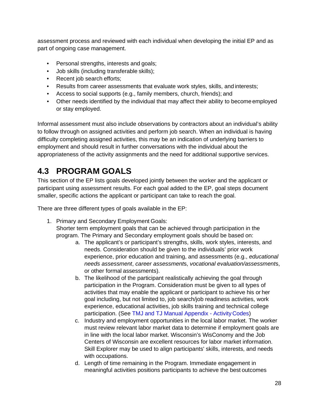assessment process and reviewed with each individual when developing the initial EP and as part of ongoing case management.

- Personal strengths, interests and goals;
- Job skills (including transferable skills);
- Recent job search efforts;
- Results from career assessments that evaluate work styles, skills, and interests;
- Access to social supports (e.g., family members, church, friends); and
- Other needs identified by the individual that may affect their ability to become employed or stay employed.

Informal assessment must also include observations by contractors about an individual's ability to follow through on assigned activities and perform job search. When an individual is having difficulty completing assigned activities, this may be an indication of underlying barriers to employment and should result in further conversations with the individual about the appropriateness of the activity assignments and the need for additional supportive services.

## <span id="page-29-0"></span>**4.3 PROGRAM GOALS**

This section of the EP lists goals developed jointly between the worker and the applicant or participant using assessment results. For each goal added to the EP, goal steps document smaller, specific actions the applicant or participant can take to reach the goal.

There are three different types of goals available in the EP:

- 1. Primary and Secondary Employment Goals: Shorter term employment goals that can be achieved through participation in the program. The Primary and Secondary employment goals should be based on:
	- a. The applicant's or participant's strengths, skills, work styles, interests, and needs. Consideration should be given to the individuals' prior work experience, prior education and training, and assessments (e.g., *educational needs assessment*, *career assessment*s, *vocational evaluation/assessment*s, or other formal assessments).
	- b. The likelihood of the participant realistically achieving the goal through participation in the Program. Consideration must be given to all types of activities that may enable the applicant or participant to achieve his or her goal including, but not limited to, job search/job readiness activities, work experience, educational activities, job skills training and technical college participation. (See TMJ and TJ Manual Appendix - Activity Codes)
	- c. Industry and employment opportunities in the local labor market. The worker must review relevant labor market data to determine if employment goals are in line with the local labor market. Wisconsin's WisConomy and the Job Centers of Wisconsin are excellent resources for labor market information. Skill Explorer may be used to align participants' skills, interests, and needs with occupations.
	- d. Length of time remaining in the Program. Immediate engagement in meaningful activities positions participants to achieve the best outcomes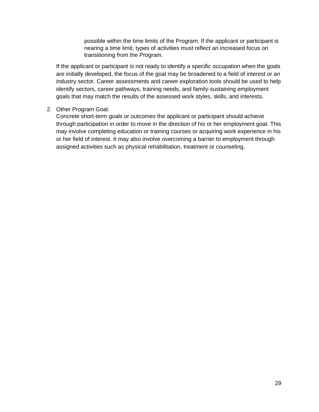possible within the time limits of the Program. If the applicant or participant is nearing a time limit, types of activities must reflect an increased focus on transitioning from the Program.

If the applicant or participant is not ready to identify a specific occupation when the goals are initially developed, the focus of the goal may be broadened to a field of interest or an industry sector. Career assessments and career exploration tools should be used to help identify sectors, career pathways, training needs, and family-sustaining employment goals that may match the results of the assessed work styles, skills, and interests.

#### 2. Other Program Goal:

Concrete short-term goals or outcomes the applicant or participant should achieve through participation in order to move in the direction of his or her employment goal. This may involve completing education or training courses or acquiring work experience in his or her field of interest. It may also involve overcoming a barrier to employment through assigned activities such as physical rehabilitation, treatment or counseling.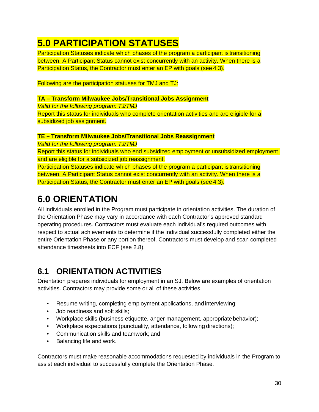# <span id="page-31-0"></span>**5.0 PARTICIPATION STATUSES**

Participation Statuses indicate which phases of the program a participant is transitioning between. A Participant Status cannot exist concurrently with an activity. When there is a Participation Status, the Contractor must enter an EP with goals (see 4.3).

Following are the participation statuses for TMJ and TJ:

#### **TA – Transform Milwaukee Jobs/Transitional Jobs Assignment**

*Valid for the following program: TJ/TMJ* Report this status for individuals who complete orientation activities and are eligible for a subsidized job assignment.

#### **TE – Transform Milwaukee Jobs/Transitional Jobs Reassignment**

*Valid for the following program: TJ/TMJ* Report this status for individuals who end subsidized employment or unsubsidized employment and are eligible for a subsidized job reassignment. Participation Statuses indicate which phases of the program a participant is transitioning between. A Participant Status cannot exist concurrently with an activity. When there is a Participation Status, the Contractor must enter an EP with goals (see 4.3).

# <span id="page-31-1"></span>**6.0 ORIENTATION**

All individuals enrolled in the Program must participate in orientation activities. The duration of the Orientation Phase may vary in accordance with each Contractor's approved standard operating procedures. Contractors must evaluate each individual's required outcomes with respect to actual achievements to determine if the individual successfully completed either the entire Orientation Phase or any portion thereof. Contractors must develop and scan completed attendance timesheets into ECF (see 2.8).

## <span id="page-31-2"></span>**6.1 ORIENTATION ACTIVITIES**

Orientation prepares individuals for employment in an SJ. Below are examples of orientation activities. Contractors may provide some or all of these activities.

- Resume writing, completing employment applications, and interviewing;
- Job readiness and soft skills;
- Workplace skills (business etiquette, anger management, appropriate behavior);
- Workplace expectations (punctuality, attendance, following directions);
- Communication skills and teamwork; and
- Balancing life and work.

Contractors must make reasonable accommodations requested by individuals in the Program to assist each individual to successfully complete the Orientation Phase.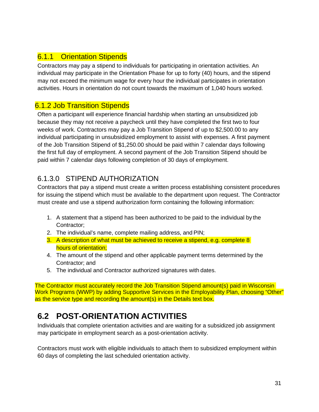#### <span id="page-32-1"></span><span id="page-32-0"></span>6.1.1 Orientation Stipends

Contractors may pay a stipend to individuals for participating in orientation activities. An individual may participate in the Orientation Phase for up to forty (40) hours, and the stipend may not exceed the minimum wage for every hour the individual participates in orientation activities. Hours in orientation do not count towards the maximum of 1,040 hours worked.

#### 6.1.2 Job Transition Stipends

Often a participant will experience financial hardship when starting an unsubsidized job because they may not receive a paycheck until they have completed the first two to four weeks of work. Contractors may pay a Job Transition Stipend of up to \$2,500.00 to any individual participating in unsubsidized employment to assist with expenses. A first payment of the Job Transition Stipend of \$1,250.00 should be paid within 7 calendar days following the first full day of employment. A second payment of the Job Transition Stipend should be paid within 7 calendar days following completion of 30 days of employment.

#### 6.1.3.0 STIPEND AUTHORIZATION

Contractors that pay a stipend must create a written process establishing consistent procedures for issuing the stipend which must be available to the department upon request. The Contractor must create and use a stipend authorization form containing the following information:

- 1. A statement that a stipend has been authorized to be paid to the individual by the Contractor;
- 2. The individual's name, complete mailing address, and PIN;
- 3. A description of what must be achieved to receive a stipend, e.g. complete 8 hours of orientation;
- 4. The amount of the stipend and other applicable payment terms determined by the Contractor; and
- 5. The individual and Contractor authorized signatures with dates.

The Contractor must accurately record the Job Transition Stipend amount(s) paid in Wisconsin Work Programs (WWP) by adding Supportive Services in the Employability Plan, choosing "Other" as the service type and recording the amount(s) in the Details text box.

### <span id="page-32-2"></span>**6.2 POST-ORIENTATION ACTIVITIES**

Individuals that complete orientation activities and are waiting for a subsidized job assignment may participate in employment search as a post-orientation activity.

Contractors must work with eligible individuals to attach them to subsidized employment within 60 days of completing the last scheduled orientation activity.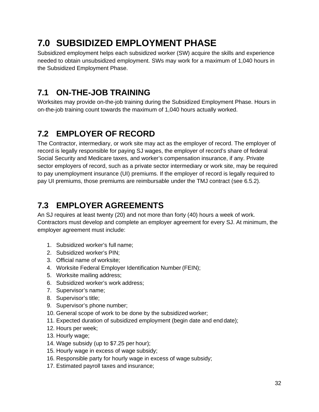# <span id="page-33-0"></span>**7.0 SUBSIDIZED EMPLOYMENT PHASE**

Subsidized employment helps each subsidized worker (SW) acquire the skills and experience needed to obtain unsubsidized employment. SWs may work for a maximum of 1,040 hours in the Subsidized Employment Phase.

## <span id="page-33-1"></span>**7.1 ON-THE-JOB TRAINING**

Worksites may provide on-the-job training during the Subsidized Employment Phase. Hours in on-the-job training count towards the maximum of 1,040 hours actually worked.

## <span id="page-33-2"></span>**7.2 EMPLOYER OF RECORD**

The Contractor, intermediary, or work site may act as the employer of record. The employer of record is legally responsible for paying SJ wages, the employer of record's share of federal Social Security and Medicare taxes, and worker's compensation insurance, if any. Private sector employers of record, such as a private sector intermediary or work site, may be required to pay unemployment insurance (UI) premiums. If the employer of record is legally required to pay UI premiums, those premiums are reimbursable under the TMJ contract (see 6.5.2).

## <span id="page-33-3"></span>**7.3 EMPLOYER AGREEMENTS**

An SJ requires at least twenty (20) and not more than forty (40) hours a week of work. Contractors must develop and complete an employer agreement for every SJ. At minimum, the employer agreement must include:

- 1. Subsidized worker's full name;
- 2. Subsidized worker's PIN;
- 3. Official name of worksite;
- 4. Worksite Federal Employer Identification Number (FEIN);
- 5. Worksite mailing address;
- 6. Subsidized worker's work address;
- 7. Supervisor's name;
- 8. Supervisor's title;
- 9. Supervisor's phone number;
- 10. General scope of work to be done by the subsidized worker;
- 11. Expected duration of subsidized employment (begin date and end date);
- 12. Hours per week;
- 13. Hourly wage;
- 14. Wage subsidy (up to \$7.25 per hour);
- 15. Hourly wage in excess of wage subsidy;
- 16. Responsible party for hourly wage in excess of wage subsidy;
- 17. Estimated payroll taxes and insurance;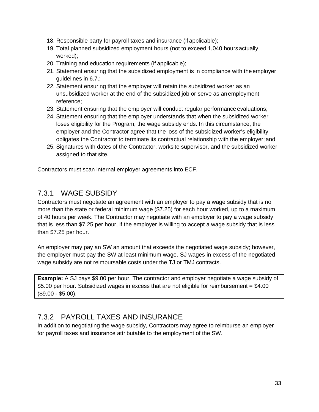- 18. Responsible party for payroll taxes and insurance (if applicable);
- 19. Total planned subsidized employment hours (not to exceed 1,040 hoursactually worked);
- 20. Training and education requirements (if applicable);
- 21. Statement ensuring that the subsidized employment is in compliance with theemployer guidelines in 6.7.;
- 22. Statement ensuring that the employer will retain the subsidized worker as an unsubsidized worker at the end of the subsidized job or serve as anemployment reference;
- 23. Statement ensuring that the employer will conduct regular performance evaluations;
- 24. Statement ensuring that the employer understands that when the subsidized worker loses eligibility for the Program, the wage subsidy ends. In this circumstance, the employer and the Contractor agree that the loss of the subsidized worker's eligibility obligates the Contractor to terminate its contractual relationship with the employer; and
- 25. Signatures with dates of the Contractor, worksite supervisor, and the subsidized worker assigned to that site.

Contractors must scan internal employer agreements into ECF.

#### <span id="page-34-0"></span>7.3.1 WAGE SUBSIDY

Contractors must negotiate an agreement with an employer to pay a wage subsidy that is no more than the state or federal minimum wage (\$7.25) for each hour worked, up to a maximum of 40 hours per week. The Contractor may negotiate with an employer to pay a wage subsidy that is less than \$7.25 per hour, if the employer is willing to accept a wage subsidy that is less than \$7.25 per hour.

An employer may pay an SW an amount that exceeds the negotiated wage subsidy; however, the employer must pay the SW at least minimum wage. SJ wages in excess of the negotiated wage subsidy are not reimbursable costs under the TJ or TMJ contracts.

**Example:** A SJ pays \$9.00 per hour. The contractor and employer negotiate a wage subsidy of \$5.00 per hour. Subsidized wages in excess that are not eligible for reimbursement = \$4.00 (\$9.00 - \$5.00).

#### <span id="page-34-1"></span>7.3.2 PAYROLL TAXES AND INSURANCE

In addition to negotiating the wage subsidy, Contractors may agree to reimburse an employer for payroll taxes and insurance attributable to the employment of the SW.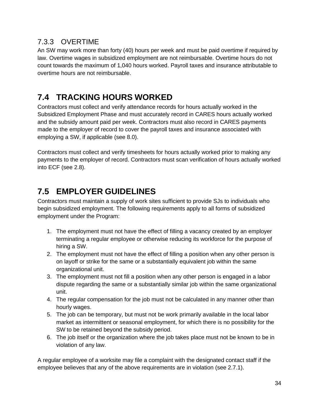#### <span id="page-35-0"></span>7.3.3 OVERTIME

An SW may work more than forty (40) hours per week and must be paid overtime if required by law. Overtime wages in subsidized employment are not reimbursable. Overtime hours do not count towards the maximum of 1,040 hours worked. Payroll taxes and insurance attributable to overtime hours are not reimbursable.

## <span id="page-35-1"></span>**7.4 TRACKING HOURS WORKED**

Contractors must collect and verify attendance records for hours actually worked in the Subsidized Employment Phase and must accurately record in CARES hours actually worked and the subsidy amount paid per week. Contractors must also record in CARES payments made to the employer of record to cover the payroll taxes and insurance associated with employing a SW, if applicable (see 8.0).

Contractors must collect and verify timesheets for hours actually worked prior to making any payments to the employer of record. Contractors must scan verification of hours actually worked into ECF (see 2.8).

## <span id="page-35-2"></span>**7.5 EMPLOYER GUIDELINES**

Contractors must maintain a supply of work sites sufficient to provide SJs to individuals who begin subsidized employment. The following requirements apply to all forms of subsidized employment under the Program:

- 1. The employment must not have the effect of filling a vacancy created by an employer terminating a regular employee or otherwise reducing its workforce for the purpose of hiring a SW.
- 2. The employment must not have the effect of filling a position when any other person is on layoff or strike for the same or a substantially equivalent job within the same organizational unit.
- 3. The employment must not fill a position when any other person is engaged in a labor dispute regarding the same or a substantially similar job within the same organizational unit.
- 4. The regular compensation for the job must not be calculated in any manner other than hourly wages.
- 5. The job can be temporary, but must not be work primarily available in the local labor market as intermittent or seasonal employment, for which there is no possibility for the SW to be retained beyond the subsidy period.
- 6. The job itself or the organization where the job takes place must not be known to be in violation of any law.

A regular employee of a worksite may file a complaint with the designated contact staff if the employee believes that any of the above requirements are in violation (see 2.7.1).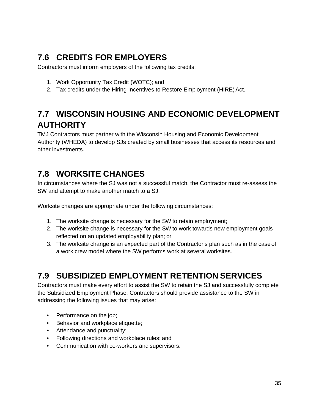## <span id="page-36-0"></span>**7.6 CREDITS FOR EMPLOYERS**

Contractors must inform employers of the following tax credits:

- 1. Work Opportunity Tax Credit (WOTC); and
- 2. Tax credits under the Hiring Incentives to Restore Employment (HIRE) Act.

## <span id="page-36-1"></span>**7.7 WISCONSIN HOUSING AND ECONOMIC DEVELOPMENT AUTHORITY**

TMJ Contractors must partner with the Wisconsin Housing and Economic Development Authority (WHEDA) to develop SJs created by small businesses that access its resources and other investments.

## <span id="page-36-2"></span>**7.8 WORKSITE CHANGES**

In circumstances where the SJ was not a successful match, the Contractor must re-assess the SW and attempt to make another match to a SJ.

Worksite changes are appropriate under the following circumstances:

- 1. The worksite change is necessary for the SW to retain employment;
- 2. The worksite change is necessary for the SW to work towards new employment goals reflected on an updated employability plan; or
- 3. The worksite change is an expected part of the Contractor's plan such as in the caseof a work crew model where the SW performs work at several worksites.

## <span id="page-36-3"></span>**7.9 SUBSIDIZED EMPLOYMENT RETENTION SERVICES**

Contractors must make every effort to assist the SW to retain the SJ and successfully complete the Subsidized Employment Phase. Contractors should provide assistance to the SW in addressing the following issues that may arise:

- Performance on the job:
- Behavior and workplace etiquette;
- Attendance and punctuality;
- Following directions and workplace rules; and
- Communication with co-workers and supervisors.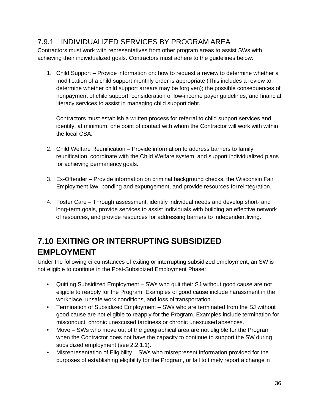#### <span id="page-37-0"></span>7.9.1 INDIVIDUALIZED SERVICES BY PROGRAM AREA

Contractors must work with representatives from other program areas to assist SWs with achieving their individualized goals. Contractors must adhere to the guidelines below:

1. Child Support – Provide information on: how to request a review to determine whether a modification of a child support monthly order is appropriate (This includes a review to determine whether child support arrears may be forgiven); the possible consequences of nonpayment of child support; consideration of low-income payer guidelines; and financial literacy services to assist in managing child support debt.

Contractors must establish a written process for referral to child support services and identify, at minimum, one point of contact with whom the Contractor will work with within the local CSA.

- 2. Child Welfare Reunification Provide information to address barriers to family reunification, coordinate with the Child Welfare system, and support individualized plans for achieving permanency goals.
- 3. Ex-Offender Provide information on criminal background checks, the Wisconsin Fair Employment law, bonding and expungement, and provide resources forreintegration.
- 4. Foster Care Through assessment, identify individual needs and develop short- and long-term goals, provide services to assist individuals with building an effective network of resources, and provide resources for addressing barriers to independentliving.

## <span id="page-37-1"></span>**7.10 EXITING OR INTERRUPTING SUBSIDIZED EMPLOYMENT**

Under the following circumstances of exiting or interrupting subsidized employment, an SW is not eligible to continue in the Post-Subsidized Employment Phase:

- Quitting Subsidized Employment SWs who quit their SJ without good cause are not eligible to reapply for the Program. Examples of good cause include harassment in the workplace, unsafe work conditions, and loss of transportation.
- Termination of Subsidized Employment SWs who are terminated from the SJ without good cause are not eligible to reapply for the Program. Examples include termination for misconduct, chronic unexcused tardiness or chronic unexcused absences.
- Move SWs who move out of the geographical area are not eligible for the Program when the Contractor does not have the capacity to continue to support the SW during subsidized employment (see 2.2.1.1).
- Misrepresentation of Eligibility SWs who misrepresent information provided for the purposes of establishing eligibility for the Program, or fail to timely report a change in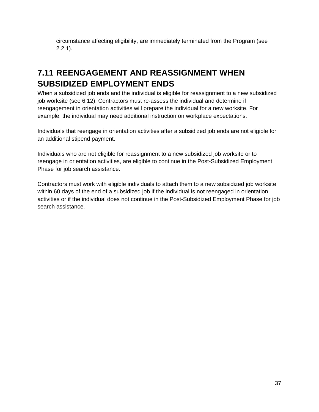circumstance affecting eligibility, are immediately terminated from the Program (see 2.2.1).

## <span id="page-38-0"></span>**7.11 REENGAGEMENT AND REASSIGNMENT WHEN SUBSIDIZED EMPLOYMENT ENDS**

When a subsidized job ends and the individual is eligible for reassignment to a new subsidized job worksite (see 6.12), Contractors must re-assess the individual and determine if reengagement in orientation activities will prepare the individual for a new worksite. For example, the individual may need additional instruction on workplace expectations.

Individuals that reengage in orientation activities after a subsidized job ends are not eligible for an additional stipend payment.

Individuals who are not eligible for reassignment to a new subsidized job worksite or to reengage in orientation activities, are eligible to continue in the Post-Subsidized Employment Phase for job search assistance.

Contractors must work with eligible individuals to attach them to a new subsidized job worksite within 60 days of the end of a subsidized job if the individual is not reengaged in orientation activities or if the individual does not continue in the Post-Subsidized Employment Phase for job search assistance.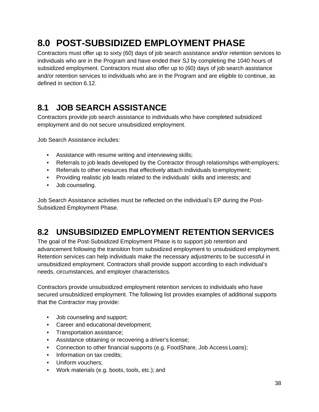# <span id="page-39-0"></span>**8.0 POST-SUBSIDIZED EMPLOYMENT PHASE**

Contractors must offer up to sixty (60) days of job search assistance and/or retention services to individuals who are in the Program and have ended their SJ by completing the 1040 hours of subsidized employment. Contractors must also offer up to (60) days of job search assistance and/or retention services to individuals who are in the Program and are eligible to continue, as defined in section 6.12.

## <span id="page-39-1"></span>**8.1 JOB SEARCH ASSISTANCE**

Contractors provide job search assistance to individuals who have completed subsidized employment and do not secure unsubsidized employment.

Job Search Assistance includes:

- Assistance with resume writing and interviewing skills;
- Referrals to job leads developed by the Contractor through relationships with employers;
- Referrals to other resources that effectively attach individuals to employment;
- Providing realistic job leads related to the individuals' skills and interests; and
- Job counseling.

Job Search Assistance activities must be reflected on the individual's EP during the Post-Subsidized Employment Phase.

## <span id="page-39-2"></span>**8.2 UNSUBSIDIZED EMPLOYMENT RETENTION SERVICES**

The goal of the Post-Subsidized Employment Phase is to support job retention and advancement following the transition from subsidized employment to unsubsidized employment. Retention services can help individuals make the necessary adjustments to be successful in unsubsidized employment. Contractors shall provide support according to each individual's needs, circumstances, and employer characteristics.

Contractors provide unsubsidized employment retention services to individuals who have secured unsubsidized employment. The following list provides examples of additional supports that the Contractor may provide:

- Job counseling and support;
- Career and educational development;
- Transportation assistance;
- Assistance obtaining or recovering a driver's license;
- Connection to other financial supports (e.g. FoodShare, Job Access Loans);
- Information on tax credits;
- Uniform vouchers;
- Work materials (e.g. boots, tools, etc.); and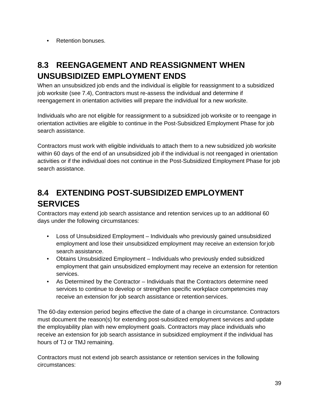• Retention bonuses.

## <span id="page-40-0"></span>**8.3 REENGAGEMENT AND REASSIGNMENT WHEN UNSUBSIDIZED EMPLOYMENT ENDS**

When an unsubsidized job ends and the individual is eligible for reassignment to a subsidized job worksite (see 7.4), Contractors must re-assess the individual and determine if reengagement in orientation activities will prepare the individual for a new worksite.

Individuals who are not eligible for reassignment to a subsidized job worksite or to reengage in orientation activities are eligible to continue in the Post-Subsidized Employment Phase for job search assistance.

Contractors must work with eligible individuals to attach them to a new subsidized job worksite within 60 days of the end of an unsubsidized job if the individual is not reengaged in orientation activities or if the individual does not continue in the Post-Subsidized Employment Phase for job search assistance.

## <span id="page-40-1"></span>**8.4 EXTENDING POST-SUBSIDIZED EMPLOYMENT SERVICES**

Contractors may extend job search assistance and retention services up to an additional 60 days under the following circumstances:

- Loss of Unsubsidized Employment Individuals who previously gained unsubsidized employment and lose their unsubsidized employment may receive an extension forjob search assistance.
- Obtains Unsubsidized Employment Individuals who previously ended subsidized employment that gain unsubsidized employment may receive an extension for retention services.
- As Determined by the Contractor Individuals that the Contractors determine need services to continue to develop or strengthen specific workplace competencies may receive an extension for job search assistance or retention services.

The 60-day extension period begins effective the date of a change in circumstance. Contractors must document the reason(s) for extending post-subsidized employment services and update the employability plan with new employment goals. Contractors may place individuals who receive an extension for job search assistance in subsidized employment if the individual has hours of TJ or TMJ remaining.

Contractors must not extend job search assistance or retention services in the following circumstances: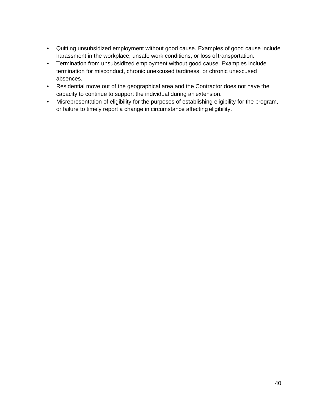- Quitting unsubsidized employment without good cause. Examples of good cause include harassment in the workplace, unsafe work conditions, or loss oftransportation.
- Termination from unsubsidized employment without good cause. Examples include termination for misconduct, chronic unexcused tardiness, or chronic unexcused absences.
- Residential move out of the geographical area and the Contractor does not have the capacity to continue to support the individual during an extension.
- Misrepresentation of eligibility for the purposes of establishing eligibility for the program, or failure to timely report a change in circumstance affecting eligibility.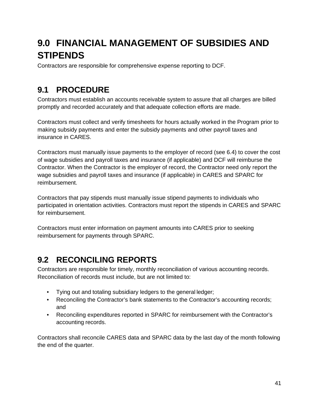# <span id="page-42-0"></span>**9.0 FINANCIAL MANAGEMENT OF SUBSIDIES AND STIPENDS**

Contractors are responsible for comprehensive expense reporting to DCF.

### <span id="page-42-1"></span>**9.1 PROCEDURE**

Contractors must establish an accounts receivable system to assure that all charges are billed promptly and recorded accurately and that adequate collection efforts are made.

Contractors must collect and verify timesheets for hours actually worked in the Program prior to making subsidy payments and enter the subsidy payments and other payroll taxes and insurance in CARES.

Contractors must manually issue payments to the employer of record (see 6.4) to cover the cost of wage subsidies and payroll taxes and insurance (if applicable) and DCF will reimburse the Contractor. When the Contractor is the employer of record, the Contractor need only report the wage subsidies and payroll taxes and insurance (if applicable) in CARES and SPARC for reimbursement.

Contractors that pay stipends must manually issue stipend payments to individuals who participated in orientation activities. Contractors must report the stipends in CARES and SPARC for reimbursement.

Contractors must enter information on payment amounts into CARES prior to seeking reimbursement for payments through SPARC.

## <span id="page-42-2"></span>**9.2 RECONCILING REPORTS**

Contractors are responsible for timely, monthly reconciliation of various accounting records. Reconciliation of records must include, but are not limited to:

- Tying out and totaling subsidiary ledgers to the general ledger;
- Reconciling the Contractor's bank statements to the Contractor's accounting records; and
- Reconciling expenditures reported in SPARC for reimbursement with the Contractor's accounting records.

Contractors shall reconcile CARES data and SPARC data by the last day of the month following the end of the quarter.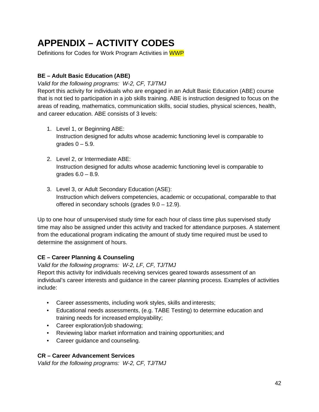# <span id="page-43-0"></span>**APPENDIX – ACTIVITY CODES**

Definitions for Codes for Work Program Activities in WWP

#### **BE – Adult Basic Education (ABE)**

*Valid for the following programs: W-2, CF, TJ/TMJ*

Report this activity for individuals who are engaged in an Adult Basic Education (ABE) course that is not tied to participation in a job skills training. ABE is instruction designed to focus on the areas of reading, mathematics, communication skills, social studies, physical sciences, health, and career education. ABE consists of 3 levels:

- 1. Level 1, or Beginning ABE: Instruction designed for adults whose academic functioning level is comparable to grades  $0 - 5.9$ .
- 2. Level 2, or Intermediate ABE: Instruction designed for adults whose academic functioning level is comparable to grades 6.0 – 8.9.
- 3. Level 3, or Adult Secondary Education (ASE): Instruction which delivers competencies, academic or occupational, comparable to that offered in secondary schools (grades 9.0 – 12.9).

Up to one hour of unsupervised study time for each hour of class time plus supervised study time may also be assigned under this activity and tracked for attendance purposes. A statement from the educational program indicating the amount of study time required must be used to determine the assignment of hours.

#### **CE – Career Planning & Counseling**

*Valid for the following programs: W-2, LF, CF, TJ/TMJ*

Report this activity for individuals receiving services geared towards assessment of an individual's career interests and guidance in the career planning process. Examples of activities include:

- Career assessments, including work styles, skills and interests;
- Educational needs assessments, (e.g. TABE Testing) to determine education and training needs for increased employability;
- Career exploration/job shadowing;
- Reviewing labor market information and training opportunities; and
- Career guidance and counseling.

#### **CR – Career Advancement Services**

*Valid for the following programs: W-2, CF, TJ/TMJ*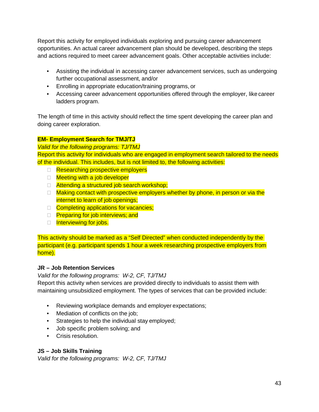Report this activity for employed individuals exploring and pursuing career advancement opportunities. An actual career advancement plan should be developed, describing the steps and actions required to meet career advancement goals. Other acceptable activities include:

- Assisting the individual in accessing career advancement services, such as undergoing further occupational assessment, and/or
- Enrolling in appropriate education/training programs, or
- Accessing career advancement opportunities offered through the employer, like career ladders program.

The length of time in this activity should reflect the time spent developing the career plan and doing career exploration.

#### **EM- Employment Search for TMJ/TJ**

*Valid for the following programs: TJ/TMJ* Report this activity for individuals who are engaged in employment search tailored to the needs of the individual. This includes, but is not limited to, the following activities:

- □ Researching prospective employers
- □ Meeting with a job developer
- $\Box$  Attending a structured job search workshop;
- $\Box$  Making contact with prospective employers whether by phone, in person or via the internet to learn of job openings;
- Completing applications for vacancies;
- **Preparing for job interviews; and**
- Interviewing for jobs.

This activity should be marked as a "Self Directed" when conducted independently by the participant (e.g. participant spends 1 hour a week researching prospective employers from home).

#### **JR – Job Retention Services**

*Valid for the following programs: W-2, CF, TJ/TMJ*

Report this activity when services are provided directly to individuals to assist them with maintaining unsubsidized employment. The types of services that can be provided include:

- Reviewing workplace demands and employer expectations;
- Mediation of conflicts on the job;
- Strategies to help the individual stay employed;
- Job specific problem solving; and
- Crisis resolution.

#### **JS – Job Skills Training**

*Valid for the following programs: W-2, CF, TJ/TMJ*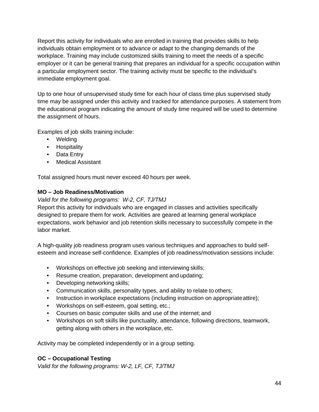Report this activity for individuals who are enrolled in training that provides skills to help individuals obtain employment or to advance or adapt to the changing demands of the workplace. Training may include customized skills training to meet the needs of a specific employer or it can be general training that prepares an individual for a specific occupation within a particular employment sector. The training activity must be specific to the individual's immediate employment goal.

Up to one hour of unsupervised study time for each hour of class time plus supervised study time may be assigned under this activity and tracked for attendance purposes. A statement from the educational program indicating the amount of study time required will be used to determine the assignment of hours.

Examples of job skills training include:

- Welding
- Hospitality
- Data Entry
- Medical Assistant

Total assigned hours must never exceed 40 hours per week.

#### **MO – Job Readiness/Motivation**

#### *Valid for the following programs: W-2, CF, TJ/TMJ*

Report this activity for individuals who are engaged in classes and activities specifically designed to prepare them for work. Activities are geared at learning general workplace expectations, work behavior and job retention skills necessary to successfully compete in the labor market.

A high-quality job readiness program uses various techniques and approaches to build selfesteem and increase self-confidence. Examples of job readiness/motivation sessions include:

- Workshops on effective job seeking and interviewing skills;
- Resume creation, preparation, development and updating;
- Developing networking skills;
- Communication skills, personality types, and ability to relate to others;
- Instruction in workplace expectations (including instruction on appropriateattire);
- Workshops on self-esteem, goal setting, etc.;
- Courses on basic computer skills and use of the internet; and
- Workshops on soft skills like punctuality, attendance, following directions, teamwork, getting along with others in the workplace, etc.

Activity may be completed independently or in a group setting.

#### **OC – Occupational Testing**

*Valid for the following programs: W-2, LF, CF, TJ/TMJ*